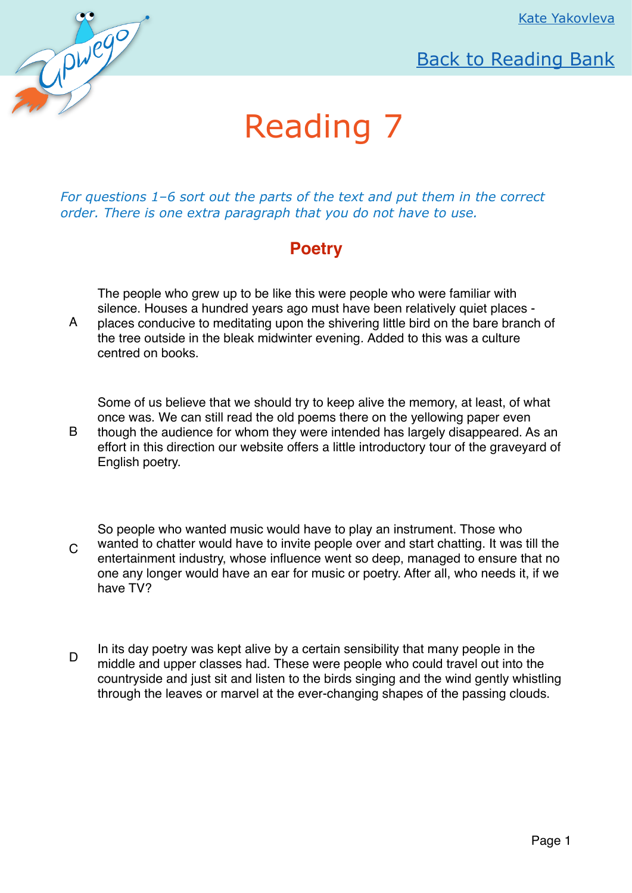

## [Back to Reading Bank](http://upwego.ru/index.php/readingbank)

## Reading 7

*For questions 1–6 sort out the parts of the text and put them in the correct order. There is one extra paragraph that you do not have to use.* 

## **Poetry**

The people who grew up to be like this were people who were familiar with silence. Houses a hundred years ago must have been relatively quiet places -

A places conducive to meditating upon the shivering little bird on the bare branch of the tree outside in the bleak midwinter evening*.* Added to this was a culture centred on books.

Some of us believe that we should try to keep alive the memory, at least, of what once was. We can still read the old poems there on the yellowing paper even

B though the audience for whom they were intended has largely disappeared. As an effort in this direction our website offers a little introductory tour of the graveyard of English poetry.

 $\mathcal{C}$ So people who wanted music would have to play an instrument. Those who wanted to chatter would have to invite people over and start chatting. It was till the entertainment industry, whose influence went so deep, managed to ensure that no one any longer would have an ear for music or poetry. After all, who needs it, if we have TV?

In its day poetry was kept alive by a certain sensibility that many people in the middle and upper classes had. These were people who could travel out into the countryside and just sit and listen to the birds singing and the wind gently whistling through the leaves or marvel at the ever-changing shapes of the passing clouds.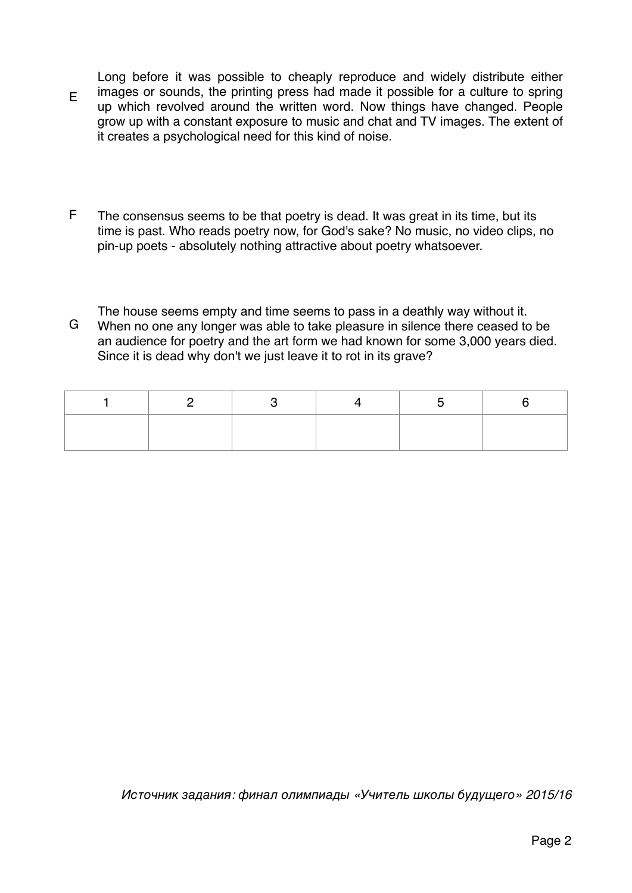E Long before it was possible to cheaply reproduce and widely distribute either images or sounds, the printing press had made it possible for a culture to spring up which revolved around the written word. Now things have changed. People grow up with a constant exposure to music and chat and TV images. The extent of it creates a psychological need for this kind of noise.

- F The consensus seems to be that poetry is dead. It was great in its time, but its time is past. Who reads poetry now, for God's sake? No music, no video clips, no pin-up poets - absolutely nothing attractive about poetry whatsoever.
- G The house seems empty and time seems to pass in a deathly way without it. When no one any longer was able to take pleasure in silence there ceased to be an audience for poetry and the art form we had known for some 3,000 years died. Since it is dead why don't we just leave it to rot in its grave?

Источник задания*:* финал олимпиады *«*Учитель школы будущего*» 2015/16*